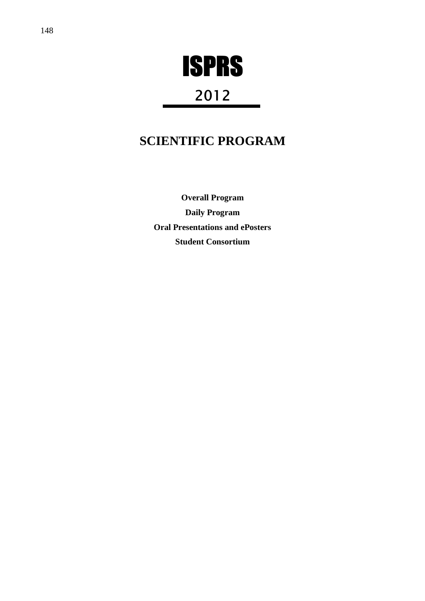

# 2012

# **SCIENTIFIC PROGRAM**

**Overall Program Daily Program Oral Presentations and ePosters Student Consortium**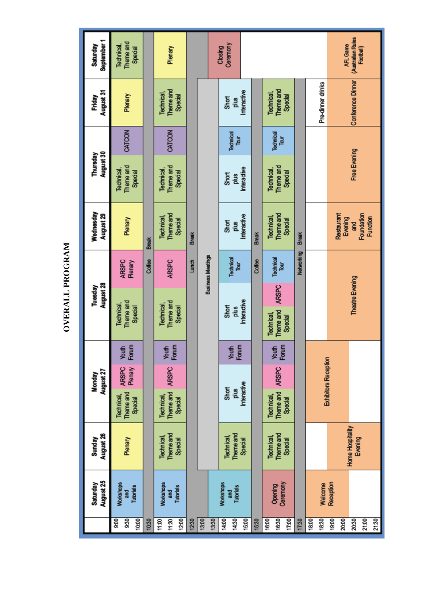|                         | August 25<br>Saturday           | August 26<br>Sunday         |                         | August 27<br>Monday         |                | August 28<br>Tuesday                 |                          | Wednesday<br>August 29 | August 30<br>Thursday   |                   | August 31<br>Friday      | September 1<br>Saturday |
|-------------------------|---------------------------------|-----------------------------|-------------------------|-----------------------------|----------------|--------------------------------------|--------------------------|------------------------|-------------------------|-------------------|--------------------------|-------------------------|
| $\overline{900}$<br>930 | <b>Morkshops</b><br><b>Tang</b> | Plenary                     | Theme and<br>Technical, | Plenary<br><b>ARSPC</b>     | Forum<br>Youth | Theme and<br>Technical,              | <b>ARSPC</b><br>Plenary  | Plenary                | Theme and<br>Technical, | CATCON            | Plenary                  | Theme and<br>Technical, |
| 1000                    | <b>Tutorials</b>                |                             | Special                 |                             |                | Special                              |                          |                        | Special                 |                   |                          | Special                 |
| 10:30                   |                                 |                             |                         |                             |                |                                      | Coffee                   | <b>Break</b>           |                         |                   |                          |                         |
| 11:00                   | <b>Workshops</b>                | Technical,                  | <b>Technical</b> ,      |                             |                | Technical,                           |                          | Technical,             | Technical,              |                   | Technical,               |                         |
| 11:30                   | and                             | Theme and                   | Theme and               | <b>ARSPC</b>                | Forum<br>Youth | Theme and                            | <b>ARSPC</b>             | Theme and              | Theme and               | CATCON            | Theme and                | Plenary                 |
| 1200                    | Tutorials                       | Special                     | <b>Special</b>          |                             |                | Special                              |                          | Special                | Special                 |                   | Special                  |                         |
| 12:30                   |                                 |                             |                         |                             |                |                                      | Lunch                    | <b>Break</b>           |                         |                   |                          |                         |
| 13:00                   |                                 |                             |                         |                             |                |                                      |                          |                        |                         |                   |                          |                         |
| 13:30                   |                                 |                             |                         |                             |                |                                      | <b>Business Meetings</b> |                        |                         |                   |                          |                         |
| 14:00                   | <b>Workshops</b>                | Technical,                  | <b>Short</b>            |                             |                | Short                                |                          | 56<br>Short            | <b>Short</b>            |                   | Short                    | Ceremony<br>Closing     |
| 14:30                   | Tutorials<br>and                | Theme and                   | plus                    |                             | Forum<br>Youth | plus                                 | Technical<br>Tour        | plus                   | plus                    | Technical<br>Tour | plus                     |                         |
| 15:00                   |                                 | Special                     | Interactive             |                             |                | Interactive                          |                          | Interactive            | Interactive             |                   | Interactive              |                         |
| 15:30                   |                                 |                             |                         |                             |                |                                      | Coffee                   | <b>Break</b>           |                         |                   |                          |                         |
| 16:00                   |                                 | Technical,                  | Technical               |                             |                | Technical,                           |                          | Technical,             | Technical,              |                   | Technical,               |                         |
| 16:30<br>17:00          | Ceremony<br>Opening             | Theme and<br>Special        | Theme and<br>Special    | <b>ARSPC</b>                | Forum<br>Youth | <b>ARSPC</b><br>Theme and<br>Special | Technical<br>Tour        | Theme and<br>Special   | Theme and<br>Special    | Technical<br>Tour | Theme and<br>Special     |                         |
| 17:30                   |                                 |                             |                         |                             |                |                                      | Networking               | <b>Break</b>           |                         |                   |                          |                         |
| 18:00                   |                                 |                             |                         |                             |                |                                      |                          |                        |                         |                   |                          |                         |
| 18:30                   | Welcome                         |                             |                         | <b>Exhibitors Reception</b> |                |                                      |                          |                        |                         |                   | Pre-dimer drinks         |                         |
| 19:00                   | Reception                       |                             |                         |                             |                |                                      |                          |                        |                         |                   |                          |                         |
| 20:00                   |                                 |                             |                         |                             |                |                                      |                          | Restaurant<br>Evening  |                         |                   |                          | AFL Game                |
| 20:30                   |                                 | Home Hospitality<br>Evening |                         |                             |                | Theatre Evening                      |                          | and                    | Free Evening            |                   | <b>Conference Dinner</b> | (Australian Rules       |
| 21:00                   |                                 |                             |                         |                             |                |                                      |                          | Foundation<br>Function |                         |                   |                          | Football)               |
| 21:30                   |                                 |                             |                         |                             |                |                                      |                          |                        |                         |                   |                          |                         |

OVERALL PROGRAM **OVERALL PROGRAM**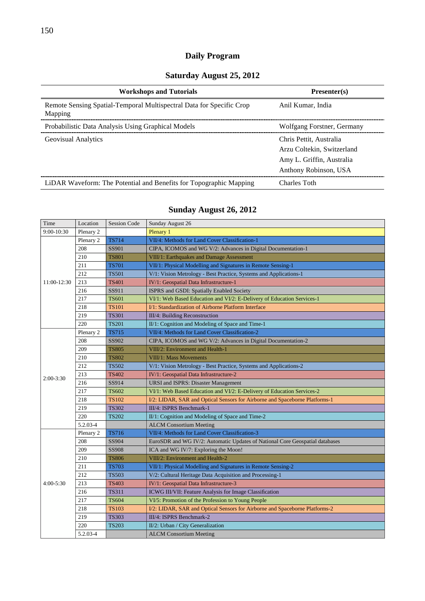### **Daily Program**

### **Saturday August 25, 2012**

| <b>Workshops and Tutorials</b>                                                  | Presenter(s)               |
|---------------------------------------------------------------------------------|----------------------------|
| Remote Sensing Spatial-Temporal Multispectral Data for Specific Crop<br>Mapping | Anil Kumar, India          |
| Probabilistic Data Analysis Using Graphical Models                              | Wolfgang Forstner, Germany |
| <b>Geovisual Analytics</b>                                                      | Chris Pettit, Australia    |
|                                                                                 | Arzu Coltekin, Switzerland |
|                                                                                 | Amy L. Griffin, Australia  |
|                                                                                 | Anthony Robinson, USA      |
| LiDAR Waveform: The Potential and Benefits for Topographic Mapping              | Charles Toth               |

### **Sunday August 26, 2012**

| Time          | Location  | <b>Session Code</b> | Sunday August 26                                                             |
|---------------|-----------|---------------------|------------------------------------------------------------------------------|
| 9:00-10:30    | Plenary 2 |                     | Plenary 1                                                                    |
|               | Plenary 2 | <b>TS714</b>        | VII/4: Methods for Land Cover Classification-1                               |
|               | 208       | SS901               | CIPA, ICOMOS and WG V/2: Advances in Digital Documentation-1                 |
|               | 210       | <b>TS801</b>        | VIII/1: Earthquakes and Damage Assessment                                    |
|               | 211       | <b>TS701</b>        | VII/1: Physical Modelling and Signatures in Remote Sensing-1                 |
|               | 212       | <b>TS501</b>        | V/1: Vision Metrology - Best Practice, Systems and Applications-1            |
| 11:00-12:30   | 213       | <b>TS401</b>        | IV/1: Geospatial Data Infrastructure-1                                       |
|               | 216       | SS911               | ISPRS and GSDI: Spatially Enabled Society                                    |
|               | 217       | <b>TS601</b>        | VI/1: Web Based Education and VI/2: E-Delivery of Education Services-1       |
|               | 218       | <b>TS101</b>        | I/1: Standardization of Airborne Platform Interface                          |
|               | 219       | <b>TS301</b>        | III/4: Building Reconstruction                                               |
|               | 220       | <b>TS201</b>        | II/1: Cognition and Modeling of Space and Time-1                             |
|               | Plenary 2 | <b>TS715</b>        | VII/4: Methods for Land Cover Classification-2                               |
| $2:00-3:30$   | 208       | SS902               | CIPA, ICOMOS and WG V/2: Advances in Digital Documentation-2                 |
|               | 209       | <b>TS805</b>        | VIII/2: Environment and Health-1                                             |
|               | 210       | <b>TS802</b>        | VIII/1: Mass Movements                                                       |
|               | 212       | <b>TS502</b>        | V/1: Vision Metrology - Best Practice, Systems and Applications-2            |
|               | 213       | <b>TS402</b>        | IV/1: Geospatial Data Infrastructure-2                                       |
|               | 216       | SS914               | <b>URSI</b> and ISPRS: Disaster Management                                   |
|               | 217       | <b>TS602</b>        | VI/1: Web Based Education and VI/2: E-Delivery of Education Services-2       |
|               | 218       | <b>TS102</b>        | I/2: LIDAR, SAR and Optical Sensors for Airborne and Spaceborne Platforms-1  |
|               | 219       | <b>TS302</b>        | III/4: ISPRS Benchmark-1                                                     |
|               | 220       | <b>TS202</b>        | II/1: Cognition and Modeling of Space and Time-2                             |
|               | 5.2.03-4  |                     | <b>ALCM Consortium Meeting</b>                                               |
|               | Plenary 2 | <b>TS716</b>        | VII/4: Methods for Land Cover Classification-3                               |
| $4:00 - 5:30$ | 208       | SS904               | EuroSDR and WG IV/2: Automatic Updates of National Core Geospatial databases |
|               | 209       | SS908               | ICA and WG IV/7: Exploring the Moon!                                         |
|               | 210       | <b>TS806</b>        | VIII/2: Environment and Health-2                                             |
|               | 211       | <b>TS703</b>        | VII/1: Physical Modelling and Signatures in Remote Sensing-2                 |
|               | 212       | <b>TS503</b>        | V/2: Cultural Heritage Data Acquisition and Processing-1                     |
|               | 213       | <b>TS403</b>        | IV/1: Geospatial Data Infrastructure-3                                       |
|               | 216       | TS311               | ICWG III/VII: Feature Analysis for Image Classification                      |
|               | 217       | <b>TS604</b>        | VI/5: Promotion of the Profession to Young People                            |
|               | 218       | <b>TS103</b>        | I/2: LIDAR, SAR and Optical Sensors for Airborne and Spaceborne Platforms-2  |
|               | 219       | <b>TS303</b>        | III/4: ISPRS Benchmark-2                                                     |
|               | 220       | <b>TS203</b>        | II/2: Urban / City Generalization                                            |
|               | 5.2.03-4  |                     | <b>ALCM</b> Consortium Meeting                                               |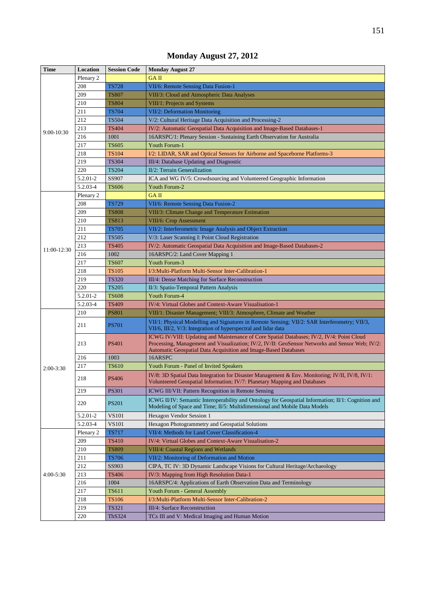| <b>Time</b> | Location  | <b>Session Code</b> | <b>Monday August 27</b>                                                                                                                                                                                                                                         |
|-------------|-----------|---------------------|-----------------------------------------------------------------------------------------------------------------------------------------------------------------------------------------------------------------------------------------------------------------|
|             | Plenary 2 |                     | <b>GAII</b>                                                                                                                                                                                                                                                     |
|             | 208       | <b>TS728</b>        | VII/6: Remote Sensing Data Fusion-1                                                                                                                                                                                                                             |
|             | 209       | <b>TS807</b>        | VIII/3: Cloud and Atmospheric Data Analyses                                                                                                                                                                                                                     |
|             | 210       | <b>TS804</b>        | VIII/1: Projects and Systems                                                                                                                                                                                                                                    |
|             | 211       | <b>TS704</b>        | <b>VII/2: Deformation Monitoring</b>                                                                                                                                                                                                                            |
|             | 212       | <b>TS504</b>        | V/2: Cultural Heritage Data Acquisition and Processing-2                                                                                                                                                                                                        |
| 9:00-10:30  | 213       | <b>TS404</b>        | IV/2: Automatic Geospatial Data Acquisition and Image-Based Databases-1                                                                                                                                                                                         |
|             | 216       | 1001                | 16ARSPC/1: Plenary Session - Sustaining Earth Observation for Australia                                                                                                                                                                                         |
|             | 217       | <b>TS605</b>        | Youth Forum-1                                                                                                                                                                                                                                                   |
|             | 218       | <b>TS104</b>        | I/2: LIDAR, SAR and Optical Sensors for Airborne and Spaceborne Platforms-3                                                                                                                                                                                     |
|             | 219       | <b>TS304</b>        | III/4: Database Updating and Diagnostic                                                                                                                                                                                                                         |
|             | 220       | <b>TS204</b>        | II/2: Terrain Generalization                                                                                                                                                                                                                                    |
|             | 5.2.01-2  | SS907               | ICA and WG IV/5: Crowdsourcing and Volunteered Geographic Information                                                                                                                                                                                           |
|             | 5.2.03-4  | <b>TS606</b>        | Youth Forum-2                                                                                                                                                                                                                                                   |
|             | Plenary 2 |                     | <b>GAII</b>                                                                                                                                                                                                                                                     |
|             | 208       | <b>TS729</b>        | VII/6: Remote Sensing Data Fusion-2                                                                                                                                                                                                                             |
|             | 209       | <b>TS808</b>        | VIII/3: Climate Change and Temperature Estimation                                                                                                                                                                                                               |
|             | 210       | TS813               | <b>VIII/6: Crop Assessment</b>                                                                                                                                                                                                                                  |
| 11:00-12:30 | 211       | <b>TS705</b>        | VII/2: Interferometric Image Analysis and Object Extraction                                                                                                                                                                                                     |
|             | 212       | <b>TS505</b>        | V/3: Laser Scanning I: Point Cloud Registration                                                                                                                                                                                                                 |
|             | 213       | TS405               | IV/2: Automatic Geospatial Data Acquisition and Image-Based Databases-2                                                                                                                                                                                         |
|             | 216       | 1002                | 16ARSPC/2: Land Cover Mapping 1                                                                                                                                                                                                                                 |
|             | 217       | <b>TS607</b>        | Youth Forum-3                                                                                                                                                                                                                                                   |
|             | 218       | TS105               | I/3:Multi-Platform Multi-Sensor Inter-Calibration-1                                                                                                                                                                                                             |
|             | 219       | <b>TS320</b>        | III/4: Dense Matching for Surface Reconstruction                                                                                                                                                                                                                |
|             | 220       | <b>TS205</b>        | II/3: Spatio-Temporal Pattern Analysis                                                                                                                                                                                                                          |
|             | 5.2.01-2  | <b>TS608</b>        | Youth Forum-4                                                                                                                                                                                                                                                   |
|             | 5.2.03-4  | <b>TS409</b>        | IV/4: Virtual Globes and Context-Aware Visualisation-1                                                                                                                                                                                                          |
|             | 210       | <b>PS801</b>        | VIII/1: Disaster Management; VIII/3: Atmosphere, Climate and Weather                                                                                                                                                                                            |
| $2:00-3:30$ | 211       | <b>PS701</b>        | VII/1: Physical Modelling and Signatures in Remote Sensing; VII/2: SAR Interferometry; VII/3,<br>VII/6, III/2, V/3: Integration of hyperspectral and lidar data                                                                                                 |
|             | 213       | <b>PS401</b>        | ICWG IV/VIII: Updating and Maintenance of Core Spatial Databases; IV/2, IV/4: Point Cloud<br>Processing, Management and Visualization; IV/2, IV/II: GeoSensor Networks and Sensor Web; IV/2:<br>Automatic Geospatial Data Acquisition and Image-Based Databases |
|             | 216       | 1003                | 16ARSPC                                                                                                                                                                                                                                                         |
|             | 217       | TS610               | Youth Forum - Panel of Invited Speakers                                                                                                                                                                                                                         |
|             | 218       | <b>PS406</b>        | IV/8: 3D Spatial Data Integration for Disaster Management & Env. Monitoring; IV/II, IV/8, IV/1:<br>Volunteered Geospatial Information; IV/7: Planetary Mapping and Databases                                                                                    |
|             | 219       | <b>PS301</b>        | ICWG III/VII: Pattern Recognition in Remote Sensing                                                                                                                                                                                                             |
|             | 220       | <b>PS201</b>        | ICWG II/IV: Semantic Interoperability and Ontology for Geospatial Information; II/1: Cognition and<br>Modeling of Space and Time; II/5: Multidimensional and Mobile Data Models                                                                                 |
|             | 5.2.01-2  | <b>VS101</b>        | Hexagon Vendor Session 1                                                                                                                                                                                                                                        |
|             | 5.2.03-4  | <b>VS101</b>        | Hexagon Photogrammetry and Geospatial Solutions                                                                                                                                                                                                                 |
|             | Plenary 2 | <b>TS717</b>        | VII/4: Methods for Land Cover Classification-4                                                                                                                                                                                                                  |
|             | 209       | <b>TS410</b>        | IV/4: Virtual Globes and Context-Aware Visualisation-2                                                                                                                                                                                                          |
|             | 210       | <b>TS809</b>        | VIII/4: Coastal Regions and Wetlands                                                                                                                                                                                                                            |
|             | 211       | <b>TS706</b>        | VII/2: Monitoring of Deformation and Motion                                                                                                                                                                                                                     |
|             | 212       | SS903               | CIPA, TC IV: 3D Dynamic Landscape Visions for Cultural Heritage/Archaeology                                                                                                                                                                                     |
| $4:00-5:30$ | 213       | TS406               | IV/3: Mapping from High Resolution Data-1                                                                                                                                                                                                                       |
|             | 216       | 1004                | 16ARSPC/4: Applications of Earth Observation Data and Terminology                                                                                                                                                                                               |
|             | 217       | TS611               | Youth Forum - General Assembly                                                                                                                                                                                                                                  |
|             | 218       | TS106               | I/3: Multi-Platform Multi-Sensor Inter-Calibration-2                                                                                                                                                                                                            |
|             | 219       | TS321               | <b>III/4: Surface Reconstruction</b>                                                                                                                                                                                                                            |
|             | 220       | ThS324              | TCs III and V: Medical Imaging and Human Motion                                                                                                                                                                                                                 |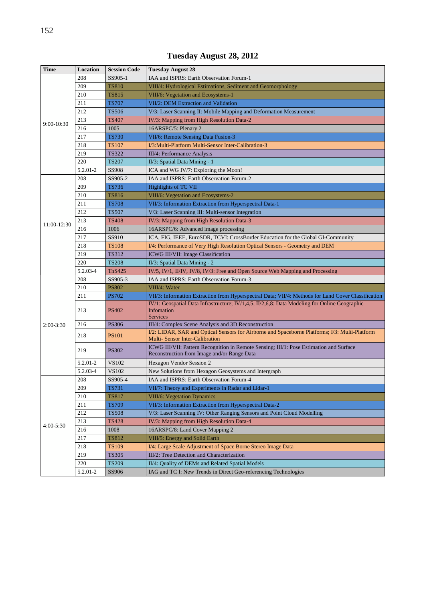| <b>Time</b> | Location | <b>Session Code</b> | <b>Tuesday August 28</b>                                                                                                               |
|-------------|----------|---------------------|----------------------------------------------------------------------------------------------------------------------------------------|
|             | 208      | SS905-1             | IAA and ISPRS: Earth Observation Forum-1                                                                                               |
|             | 209      | <b>TS810</b>        | VIII/4: Hydrological Estimations, Sediment and Geomorphology                                                                           |
|             | 210      | <b>TS815</b>        | VIII/6: Vegetation and Ecosystems-1                                                                                                    |
|             | 211      | <b>TS707</b>        | VII/2: DEM Extraction and Validation                                                                                                   |
|             | 212      | <b>TS506</b>        | V/3: Laser Scanning II: Mobile Mapping and Deformation Measurement                                                                     |
| 9:00-10:30  | 213      | <b>TS407</b>        | IV/3: Mapping from High Resolution Data-2                                                                                              |
|             | 216      | 1005                | 16ARSPC/5: Plenary 2                                                                                                                   |
|             | 217      | <b>TS730</b>        | VII/6: Remote Sensing Data Fusion-3                                                                                                    |
|             | 218      | <b>TS107</b>        | I/3: Multi-Platform Multi-Sensor Inter-Calibration-3                                                                                   |
|             | 219      | <b>TS322</b>        | III/4: Performance Analysis                                                                                                            |
|             | 220      | <b>TS207</b>        | II/3: Spatial Data Mining - 1                                                                                                          |
|             | 5.2.01-2 | <b>SS908</b>        | ICA and WG IV/7: Exploring the Moon!                                                                                                   |
|             | 208      | SS905-2             | IAA and ISPRS: Earth Observation Forum-2                                                                                               |
|             | 209      | <b>TS736</b>        | Highlights of TC VII                                                                                                                   |
|             | 210      | <b>TS816</b>        | VIII/6: Vegetation and Ecosystems-2                                                                                                    |
|             | 211      | <b>TS708</b>        | VII/3: Information Extraction from Hyperspectral Data-1                                                                                |
|             | 212      | <b>TS507</b>        | V/3: Laser Scanning III: Multi-sensor Integration                                                                                      |
| 11:00-12:30 | 213      | <b>TS408</b>        | IV/3: Mapping from High Resolution Data-3                                                                                              |
|             | 216      | 1006                | 16ARSPC/6: Advanced image processing                                                                                                   |
|             | 217      | SS910               | ICA, FIG, IEEE, EuroSDR, TCVI: CrossBorder Education for the Global GI-Community                                                       |
|             | 218      | <b>TS108</b>        | I/4: Performance of Very High Resolution Optical Sensors - Geometry and DEM                                                            |
|             | 219      | <b>TS312</b>        | ICWG III/VII: Image Classification                                                                                                     |
|             | 220      | <b>TS208</b>        | II/3: Spatial Data Mining - 2                                                                                                          |
|             | 5.2.03-4 | <b>ThS425</b>       | IV/5, IV/1, II/IV, IV/8, IV/3: Free and Open Source Web Mapping and Processing                                                         |
|             | 208      | SS905-3             | IAA and ISPRS: Earth Observation Forum-3                                                                                               |
|             | 210      | <b>PS802</b>        | VIII/4: Water                                                                                                                          |
|             | 211      | <b>PS702</b>        | VII/3: Information Extraction from Hyperspectral Data; VII/4: Methods for Land Cover Classification                                    |
|             | 213      | <b>PS402</b>        | IV/1: Geospatial Data Infrastructure; IV/1,4,5, II/2,6,8: Data Modeling for Online Geographic<br>Infomation<br><b>Services</b>         |
| $2:00-3:30$ | 216      | <b>PS306</b>        | III/4: Complex Scene Analysis and 3D Reconstruction                                                                                    |
|             | 218      | <b>PS101</b>        | I/2: LIDAR, SAR and Optical Sensors for Airborne and Spaceborne Platforms; I/3: Multi-Platform<br>Multi- Sensor Inter-Calibration      |
|             | 219      | <b>PS302</b>        | ICWG III/VII: Pattern Recognition in Remote Sensing; III/1: Pose Estimation and Surface<br>Reconstruction from Image and/or Range Data |
|             | 5.2.01-2 | VS102               | Hexagon Vendor Session 2                                                                                                               |
|             | 5.2.03-4 | VS102               | New Solutions from Hexagon Geosystems and Intergraph                                                                                   |
|             | 208      | SS905-4             | IAA and ISPRS: Earth Observation Forum-4                                                                                               |
|             | 209      | <b>TS731</b>        | VII/7: Theory and Experiments in Radar and Lidar-1                                                                                     |
|             | 210      | <b>TS817</b>        | <b>VIII/6: Vegetation Dynamics</b>                                                                                                     |
|             | 211      | <b>TS709</b>        | VII/3: Information Extraction from Hyperspectral Data-2                                                                                |
|             | 212      | <b>TS508</b>        | V/3: Laser Scanning IV: Other Ranging Sensors and Point Cloud Modelling                                                                |
|             | 213      | <b>TS428</b>        | IV/3: Mapping from High Resolution Data-4                                                                                              |
| 4:00-5:30   | 216      | 1008                | 16ARSPC/8: Land Cover Mapping 2                                                                                                        |
|             | 217      | <b>TS812</b>        | VIII/5: Energy and Solid Earth                                                                                                         |
|             | 218      | <b>TS109</b>        | I/4: Large Scale Adjustment of Space Borne Stereo Image Data                                                                           |
|             | 219      | <b>TS305</b>        | III/2: Tree Detection and Characterization                                                                                             |
|             | 220      | <b>TS209</b>        | II/4: Quality of DEMs and Related Spatial Models                                                                                       |
|             | 5.2.01-2 | SS906               | IAG and TC I: New Trends in Direct Geo-referencing Technologies                                                                        |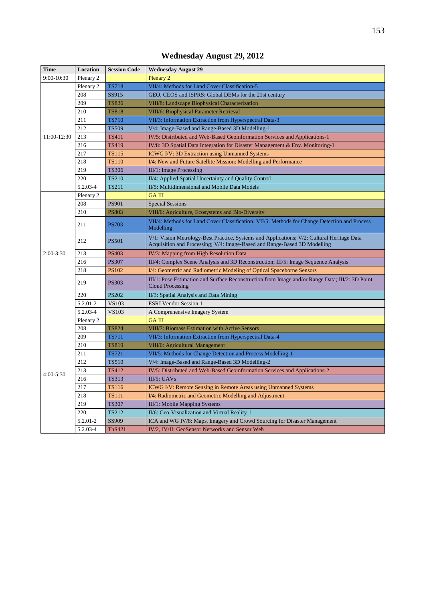| <b>Time</b> | Location  | <b>Session Code</b> | <b>Wednesday August 29</b>                                                                                                                                              |
|-------------|-----------|---------------------|-------------------------------------------------------------------------------------------------------------------------------------------------------------------------|
| 9:00-10:30  | Plenary 2 |                     | Plenary 2                                                                                                                                                               |
|             | Plenary 2 | <b>TS718</b>        | VII/4: Methods for Land Cover Classification-5                                                                                                                          |
|             | 208       | SS915               | GEO, CEOS and ISPRS: Global DEMs for the 21st century                                                                                                                   |
|             | 209       | <b>TS826</b>        | VIII/8: Landscape Biophysical Characterization                                                                                                                          |
|             | 210       | <b>TS818</b>        | VIII/6: Biophysical Parameter Retrieval                                                                                                                                 |
|             | 211       | <b>TS710</b>        | VII/3: Information Extraction from Hyperspectral Data-3                                                                                                                 |
|             | 212       | <b>TS509</b>        | V/4: Image-Based and Range-Based 3D Modelling-1                                                                                                                         |
| 11:00-12:30 | 213       | <b>TS411</b>        | IV/5: Distributed and Web-Based Geoinformation Services and Applications-1                                                                                              |
|             | 216       | <b>TS419</b>        | IV/8: 3D Spatial Data Integration for Disaster Management & Env. Monitoring-1                                                                                           |
|             | 217       | TS115               | <b>ICWG I/V: 3D Extraction using Unmanned Systems</b>                                                                                                                   |
|             | 218       | <b>TS110</b>        | I/4: New and Future Satellite Mission: Modelling and Performance                                                                                                        |
|             | 219       | <b>TS306</b>        | III/1: Image Processing                                                                                                                                                 |
|             | 220       | <b>TS210</b>        | II/4: Applied Spatial Uncertainty and Quality Control                                                                                                                   |
|             | 5.2.03-4  | <b>TS211</b>        | II/5: Multidimensional and Mobile Data Models                                                                                                                           |
|             | Plenary 2 |                     | <b>GAIII</b>                                                                                                                                                            |
|             | 208       | <b>PS901</b>        | <b>Special Sessions</b>                                                                                                                                                 |
|             | 210       | <b>PS803</b>        | VIII/6: Agriculture, Ecosystems and Bio-Diversity                                                                                                                       |
|             | 211       | <b>PS703</b>        | VII/4: Methods for Land Cover Classification; VII/5: Methods for Change Detection and Process<br>Modelling                                                              |
|             | 212       | <b>PS501</b>        | V/1: Vision Metrology-Best Practice, Systems and Applications; V/2: Cultural Heritage Data<br>Acquisition and Processing; V/4: Image-Based and Range-Based 3D Modelling |
| 2:00-3:30   | 213       | <b>PS403</b>        | IV/3: Mapping from High Resolution Data                                                                                                                                 |
|             | 216       | <b>PS307</b>        | III/4: Complex Scene Analysis and 3D Reconstruction; III/5: Image Sequence Analysis                                                                                     |
|             | 218       | <b>PS102</b>        | I/4: Geometric and Radiometric Modeling of Optical Spaceborne Sensors                                                                                                   |
|             | 219       | <b>PS303</b>        | III/1: Pose Estimation and Surface Reconstruction from Image and/or Range Data; III/2: 3D Point<br>Cloud Processing                                                     |
|             | 220       | <b>PS202</b>        | II/3: Spatial Analysis and Data Mining                                                                                                                                  |
|             | 5.2.01-2  | <b>VS103</b>        | <b>ESRI Vendor Session 1</b>                                                                                                                                            |
|             | 5.2.03-4  | VS103               | A Comprehensive Imagery System                                                                                                                                          |
|             | Plenary 2 |                     | <b>GAIII</b>                                                                                                                                                            |
| 4:00-5:30   | 208       | <b>TS824</b>        | <b>VIII/7: Biomass Estimation with Active Sensors</b>                                                                                                                   |
|             | 209       | <b>TS711</b>        | VII/3: Information Extraction from Hyperspectral Data-4                                                                                                                 |
|             | 210       | <b>TS819</b>        | VIII/6: Agricultural Management                                                                                                                                         |
|             | 211       | <b>TS721</b>        | VII/5: Methods for Change Detection and Process Modelling-1                                                                                                             |
|             | 212       | <b>TS510</b>        | V/4: Image-Based and Range-Based 3D Modelling-2                                                                                                                         |
|             | 213       | <b>TS412</b>        | IV/5: Distributed and Web-Based Geoinformation Services and Applications-2                                                                                              |
|             | 216       | <b>TS313</b>        | III/5: UAVs                                                                                                                                                             |
|             | 217       | <b>TS116</b>        | ICWG I/V: Remote Sensing in Remote Areas using Unmanned Systems                                                                                                         |
|             | 218       | <b>TS111</b>        | I/4: Radiometric and Geometric Modelling and Adjustment                                                                                                                 |
|             | 219       | <b>TS307</b>        | III/1: Mobile Mapping Systems                                                                                                                                           |
|             | 220       | <b>TS212</b>        | II/6: Geo-Visualization and Virtual Reality-1                                                                                                                           |
|             | 5.2.01-2  | SS909               | ICA and WG IV/8: Maps, Imagery and Crowd Sourcing for Disaster Management                                                                                               |
|             | 5.2.03-4  | <b>ThS421</b>       | IV/2, IV/II: GeoSensor Networks and Sensor Web                                                                                                                          |

# **Wednesday August 29, 2012**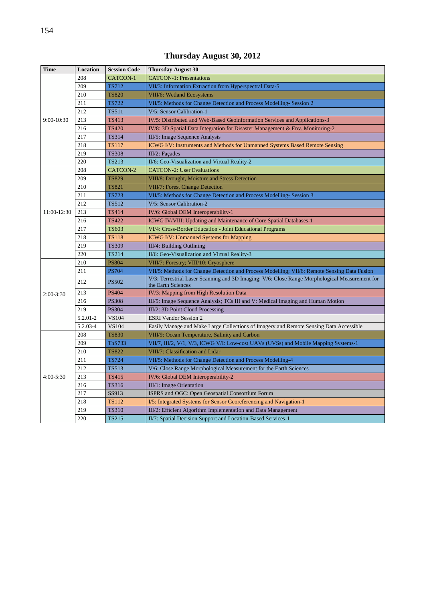| <b>Time</b> | Location | <b>Session Code</b> | <b>Thursday August 30</b>                                                                                            |
|-------------|----------|---------------------|----------------------------------------------------------------------------------------------------------------------|
|             | 208      | CATCON-1            | <b>CATCON-1: Presentations</b>                                                                                       |
|             | 209      | <b>TS712</b>        | VII/3: Information Extraction from Hyperspectral Data-5                                                              |
|             | 210      | <b>TS820</b>        | VIII/6: Wetland Ecosystems                                                                                           |
|             | 211      | <b>TS722</b>        | VII/5: Methods for Change Detection and Process Modelling-Session 2                                                  |
|             | 212      | <b>TS511</b>        | V/5: Sensor Calibration-1                                                                                            |
| 9:00-10:30  | 213      | <b>TS413</b>        | IV/5: Distributed and Web-Based Geoinformation Services and Applications-3                                           |
|             | 216      | <b>TS420</b>        | IV/8: 3D Spatial Data Integration for Disaster Management & Env. Monitoring-2                                        |
|             | 217      | <b>TS314</b>        | III/5: Image Sequence Analysis                                                                                       |
|             | 218      | <b>TS117</b>        | <b>ICWG I/V: Instruments and Methods for Unmanned Systems Based Remote Sensing</b>                                   |
|             | 219      | <b>TS308</b>        | III/2: Façades                                                                                                       |
|             | 220      | <b>TS213</b>        | II/6: Geo-Visualization and Virtual Reality-2                                                                        |
|             | 208      | CATCON-2            | <b>CATCON-2: User Evaluations</b>                                                                                    |
|             | 209      | <b>TS829</b>        | VIII/8: Drought, Moisture and Stress Detection                                                                       |
| 11:00-12:30 | 210      | <b>TS821</b>        | <b>VIII/7: Forest Change Detection</b>                                                                               |
|             | 211      | <b>TS723</b>        | VII/5: Methods for Change Detection and Process Modelling-Session 3                                                  |
|             | 212      | <b>TS512</b>        | V/5: Sensor Calibration-2                                                                                            |
|             | 213      | <b>TS414</b>        | IV/6: Global DEM Interoperability-1                                                                                  |
|             | 216      | <b>TS422</b>        | ICWG IV/VIII: Updating and Maintenance of Core Spatial Databases-1                                                   |
|             | 217      | <b>TS603</b>        | VI/4: Cross-Border Education - Joint Educational Programs                                                            |
|             | 218      | <b>TS118</b>        | <b>ICWG I/V: Unmanned Systems for Mapping</b>                                                                        |
|             | 219      | <b>TS309</b>        | III/4: Building Outlining                                                                                            |
|             | 220      | <b>TS214</b>        | II/6: Geo-Visualization and Virtual Reality-3                                                                        |
|             | 210      | <b>PS804</b>        | VIII/7: Forestry; VIII/10: Cryosphere                                                                                |
|             | 211      | <b>PS704</b>        | VII/5: Methods for Change Detection and Process Modelling; VII/6: Remote Sensing Data Fusion                         |
|             | 212      | <b>PS502</b>        | V/3: Terrestrial Laser Scanning and 3D Imaging; V/6: Close Range Morphological Measurement for<br>the Earth Sciences |
| $2:00-3:30$ | 213      | <b>PS404</b>        | IV/3: Mapping from High Resolution Data                                                                              |
|             | 216      | <b>PS308</b>        | III/5: Image Sequence Analysis; TCs III and V: Medical Imaging and Human Motion                                      |
|             | 219      | <b>PS304</b>        | III/2: 3D Point Cloud Processing                                                                                     |
|             | 5.2.01-2 | <b>VS104</b>        | <b>ESRI Vendor Session 2</b>                                                                                         |
|             | 5.2.03-4 | <b>VS104</b>        | Easily Manage and Make Large Collections of Imagery and Remote Sensing Data Accessible                               |
|             | 208      | <b>TS830</b>        | VIII/9: Ocean Temperature, Salinity and Carbon                                                                       |
|             | 209      | <b>ThS733</b>       | VII/7, III/2, V/1, V/3, ICWG V/I: Low-cost UAVs (UVSs) and Mobile Mapping Systems-1                                  |
|             | 210      | <b>TS822</b>        | VIII/7: Classification and Lidar                                                                                     |
|             | 211      | <b>TS724</b>        | VII/5: Methods for Change Detection and Process Modelling-4                                                          |
|             | 212      | <b>TS513</b>        | V/6: Close Range Morphological Measurement for the Earth Sciences                                                    |
| $4:00-5:30$ | 213      | <b>TS415</b>        | IV/6: Global DEM Interoperability-2                                                                                  |
|             | 216      | <b>TS316</b>        | III/1: Image Orientation                                                                                             |
|             | 217      | SS913               | ISPRS and OGC: Open Geospatial Consortium Forum                                                                      |
|             | 218      | <b>TS112</b>        | I/5: Integrated Systems for Sensor Georeferencing and Navigation-1                                                   |
|             | 219      | <b>TS310</b>        | III/2: Efficient Algorithm Implementation and Data Management                                                        |
|             | 220      | <b>TS215</b>        | II/7: Spatial Decision Support and Location-Based Services-1                                                         |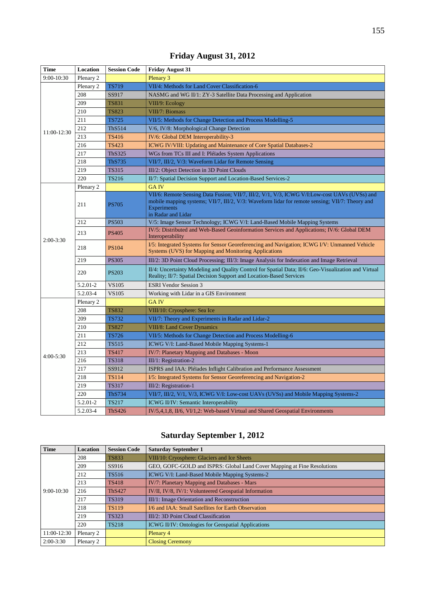| Time        | Location  | <b>Session Code</b> | <b>Friday August 31</b>                                                                                                                                                                                                                     |
|-------------|-----------|---------------------|---------------------------------------------------------------------------------------------------------------------------------------------------------------------------------------------------------------------------------------------|
| 9:00-10:30  | Plenary 2 |                     | Plenary 3                                                                                                                                                                                                                                   |
|             | Plenary 2 | <b>TS719</b>        | VII/4: Methods for Land Cover Classification-6                                                                                                                                                                                              |
|             | 208       | SS917               | NASMG and WG II/1: ZY-3 Satellite Data Processing and Application                                                                                                                                                                           |
|             | 209       | <b>TS831</b>        | VIII/9: Ecology                                                                                                                                                                                                                             |
|             | 210       | <b>TS823</b>        | VIII/7: Biomass                                                                                                                                                                                                                             |
|             | 211       | <b>TS725</b>        | VII/5: Methods for Change Detection and Process Modelling-5                                                                                                                                                                                 |
|             | 212       | <b>ThS514</b>       | V/6, IV/8: Morphological Change Detection                                                                                                                                                                                                   |
| 11:00-12:30 | 213       | <b>TS416</b>        | IV/6: Global DEM Interoperability-3                                                                                                                                                                                                         |
|             | 216       | <b>TS423</b>        | ICWG IV/VIII: Updating and Maintenance of Core Spatial Databases-2                                                                                                                                                                          |
|             | 217       | <b>ThS325</b>       | WGs from TCs III and I: Pléïades System Applications                                                                                                                                                                                        |
|             | 218       | <b>ThS735</b>       | VII/7, III/2, V/3: Waveform Lidar for Remote Sensing                                                                                                                                                                                        |
|             | 219       | <b>TS315</b>        | III/2: Object Detection in 3D Point Clouds                                                                                                                                                                                                  |
|             | 220       | <b>TS216</b>        | II/7: Spatial Decision Support and Location-Based Services-2                                                                                                                                                                                |
|             | Plenary 2 |                     | <b>GAIV</b>                                                                                                                                                                                                                                 |
| $2:00-3:30$ | 211       | <b>PS705</b>        | VII/6: Remote Sensing Data Fusion; VII/7, III/2, V/1, V/3, ICWG V/I:Low-cost UAVs (UVSs) and<br>mobile mapping systems; VII/7, III/2, V/3: Waveform lidar for remote sensing; VII/7: Theory and<br><b>Experiments</b><br>in Radar and Lidar |
|             | 212       | <b>PS503</b>        | V/5: Image Sensor Technology; ICWG V/I: Land-Based Mobile Mapping Systems                                                                                                                                                                   |
|             | 213       | <b>PS405</b>        | IV/5: Distributed and Web-Based Geoinformation Services and Applications; IV/6: Global DEM<br>Interoperability                                                                                                                              |
|             | 218       | <b>PS104</b>        | I/5: Integrated Systems for Sensor Georeferencing and Navigation; ICWG I/V: Unmanned Vehicle<br>Systems (UVS) for Mapping and Monitoring Applications                                                                                       |
|             | 219       | <b>PS305</b>        | III/2: 3D Point Cloud Processing; III/3: Image Analysis for Indexation and Image Retrieval                                                                                                                                                  |
|             | 220       | <b>PS203</b>        | II/4: Uncertainty Modeling and Quality Control for Spatial Data; II/6: Geo-Visualization and Virtual<br>Reality; II/7: Spatial Decision Support and Location-Based Services                                                                 |
|             | 5.2.01-2  | <b>VS105</b>        | <b>ESRI Vendor Session 3</b>                                                                                                                                                                                                                |
|             | 5.2.03-4  | <b>VS105</b>        | Working with Lidar in a GIS Environment                                                                                                                                                                                                     |
|             | Plenary 2 |                     | <b>GAIV</b>                                                                                                                                                                                                                                 |
| $4:00-5:30$ | 208       | <b>TS832</b>        | VIII/10: Cryosphere: Sea Ice                                                                                                                                                                                                                |
|             | 209       | <b>TS732</b>        | VII/7: Theory and Experiments in Radar and Lidar-2                                                                                                                                                                                          |
|             | 210       | <b>TS827</b>        | VIII/8: Land Cover Dynamics                                                                                                                                                                                                                 |
|             | 211       | <b>TS726</b>        | VII/5: Methods for Change Detection and Process Modelling-6                                                                                                                                                                                 |
|             | 212       | <b>TS515</b>        | ICWG V/I: Land-Based Mobile Mapping Systems-1                                                                                                                                                                                               |
|             | 213       | <b>TS417</b>        | IV/7: Planetary Mapping and Databases - Moon                                                                                                                                                                                                |
|             | 216       | <b>TS318</b>        | III/1: Registration-2                                                                                                                                                                                                                       |
|             | 217       | SS912               | ISPRS and IAA: Pléiades Inflight Calibration and Performance Assessment                                                                                                                                                                     |
|             | 218       | <b>TS114</b>        | I/5: Integrated Systems for Sensor Georeferencing and Navigation-2                                                                                                                                                                          |
|             | 219       | <b>TS317</b>        | III/2: Registration-1                                                                                                                                                                                                                       |
|             | 220       | <b>ThS734</b>       | VII/7, III/2, V/1, V/3, ICWG V/I: Low-cost UAVs (UVSs) and Mobile Mapping Systems-2                                                                                                                                                         |
|             | 5.2.01-2  | <b>TS217</b>        | ICWG II/IV: Semantic Interoperability                                                                                                                                                                                                       |
|             | 5.2.03-4  | <b>ThS426</b>       | IV/5,4,1,8, II/6, VI/1,2: Web-based Virtual and Shared Geospatial Environments                                                                                                                                                              |

# **Friday August 31, 2012**

# **Saturday September 1, 2012**

| <b>Time</b>  | Location  | <b>Session Code</b> | <b>Saturday September 1</b>                                             |
|--------------|-----------|---------------------|-------------------------------------------------------------------------|
|              | 208       | <b>TS833</b>        | VIII/10: Cryosphere: Glaciers and Ice Sheets                            |
|              | 209       | SS916               | GEO, GOFC-GOLD and ISPRS: Global Land Cover Mapping at Fine Resolutions |
|              | 212       | <b>TS516</b>        | ICWG V/I: Land-Based Mobile Mapping Systems-2                           |
|              | 213       | <b>TS418</b>        | IV/7: Planetary Mapping and Databases - Mars                            |
| $9:00-10:30$ | 216       | <b>ThS427</b>       | IV/II, IV/8, IV/1: Volunteered Geospatial Information                   |
|              | 217       | <b>TS319</b>        | III/1: Image Orientation and Reconstruction                             |
|              | 218       | <b>TS119</b>        | I/6 and IAA: Small Satellites for Earth Observation                     |
|              | 219       | <b>TS323</b>        | III/2: 3D Point Cloud Classification                                    |
|              | 220       | <b>TS218</b>        | <b>ICWG II/IV: Ontologies for Geospatial Applications</b>               |
| 11:00-12:30  | Plenary 2 |                     | Plenary 4                                                               |
| $2:00-3:30$  | Plenary 2 |                     | <b>Closing Ceremony</b>                                                 |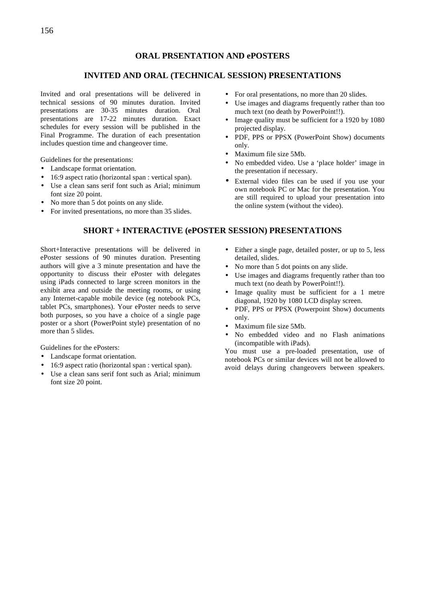#### **ORAL PRSENTATION AND ePOSTERS**

### **INVITED AND ORAL (TECHNICAL SESSION) PRESENTATIONS**

Invited and oral presentations will be delivered in technical sessions of 90 minutes duration. Invited presentations are 30-35 minutes duration. Oral presentations are 17-22 minutes duration. Exact schedules for every session will be published in the Final Programme. The duration of each presentation includes question time and changeover time.

Guidelines for the presentations:

- Landscape format orientation.
- 16:9 aspect ratio (horizontal span : vertical span).
- Use a clean sans serif font such as Arial; minimum font size 20 point.
- No more than 5 dot points on any slide.
- For invited presentations, no more than 35 slides.
- For oral presentations, no more than 20 slides.
- Use images and diagrams frequently rather than too much text (no death by PowerPoint!!).
- Image quality must be sufficient for a 1920 by 1080 projected display.
- PDF, PPS or PPSX (PowerPoint Show) documents only.
- Maximum file size 5Mb.
- No embedded video. Use a 'place holder' image in the presentation if necessary.
- External video files can be used if you use your own notebook PC or Mac for the presentation. You are still required to upload your presentation into the online system (without the video).

#### **SHORT + INTERACTIVE (ePOSTER SESSION) PRESENTATIONS**

Short+Interactive presentations will be delivered in ePoster sessions of 90 minutes duration. Presenting authors will give a 3 minute presentation and have the opportunity to discuss their ePoster with delegates using iPads connected to large screen monitors in the exhibit area and outside the meeting rooms, or using any Internet-capable mobile device (eg notebook PCs, tablet PCs, smartphones). Your ePoster needs to serve both purposes, so you have a choice of a single page poster or a short (PowerPoint style) presentation of no more than 5 slides.

Guidelines for the ePosters:

- Landscape format orientation.
- 16:9 aspect ratio (horizontal span : vertical span).
- Use a clean sans serif font such as Arial; minimum font size 20 point.
- Either a single page, detailed poster, or up to 5, less detailed, slides.
- No more than 5 dot points on any slide.
- Use images and diagrams frequently rather than too much text (no death by PowerPoint!!).
- Image quality must be sufficient for a 1 metre diagonal, 1920 by 1080 LCD display screen.
- PDF, PPS or PPSX (Powerpoint Show) documents only.
- Maximum file size 5Mb.
- No embedded video and no Flash animations (incompatible with iPads).

You must use a pre-loaded presentation, use of notebook PCs or similar devices will not be allowed to avoid delays during changeovers between speakers.